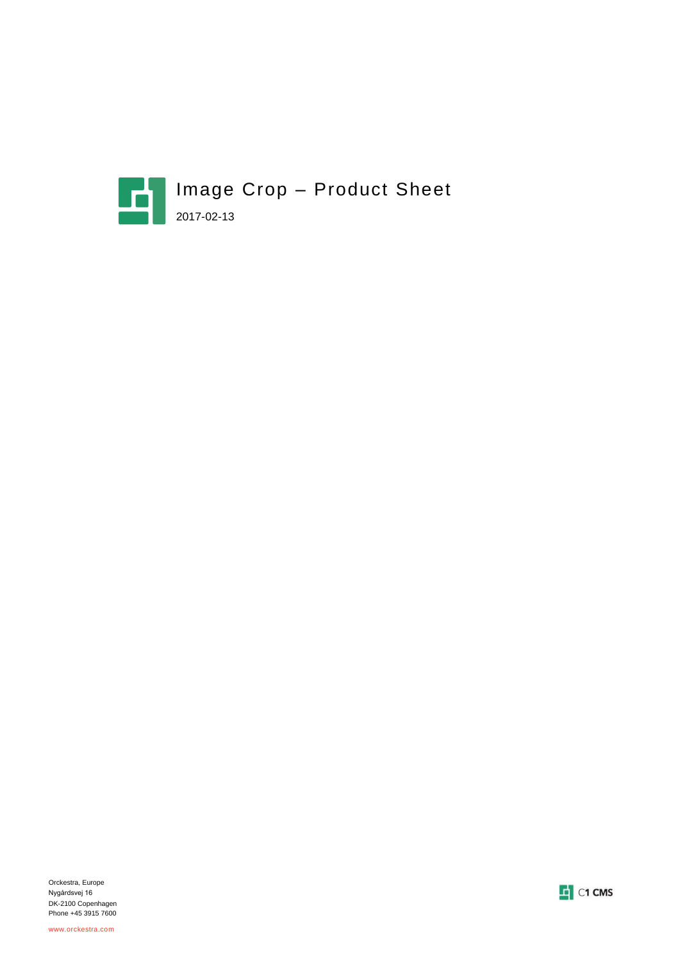



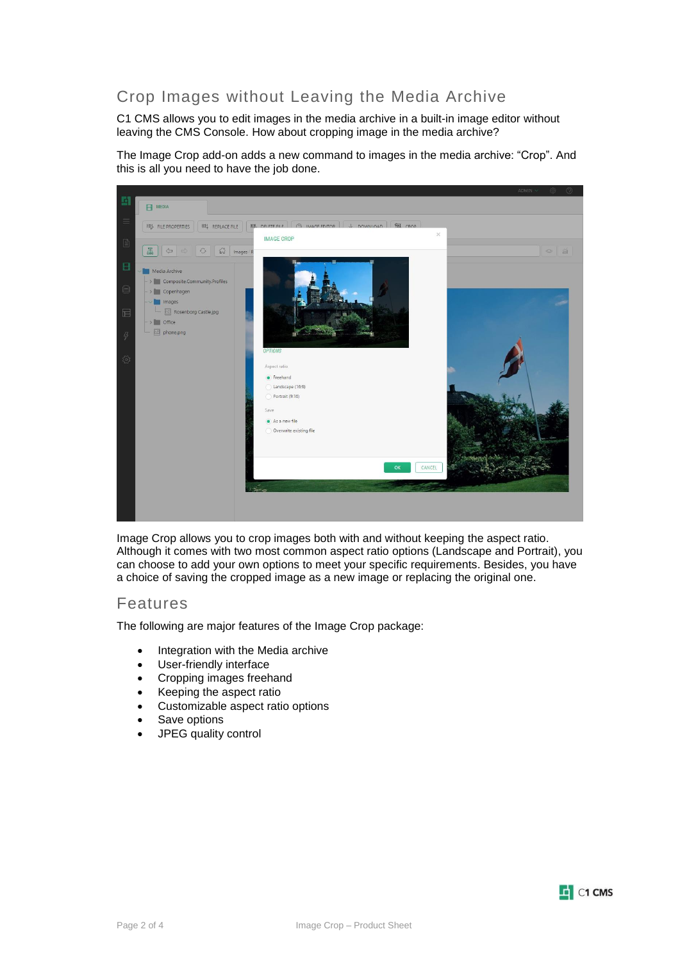# Crop Images without Leaving the Media Archive

C1 CMS allows you to edit images in the media archive in a built-in image editor without leaving the CMS Console. How about cropping image in the media archive?

The Image Crop add-on adds a new command to images in the media archive: "Crop". And this is all you need to have the job done.



Image Crop allows you to crop images both with and without keeping the aspect ratio. Although it comes with two most common aspect ratio options (Landscape and Portrait), you can choose to add your own options to meet your specific requirements. Besides, you have a choice of saving the cropped image as a new image or replacing the original one.

### Features

The following are major features of the Image Crop package:

- Integration with the Media archive
- User-friendly interface
- Cropping images freehand
- Keeping the aspect ratio
- Customizable aspect ratio options
- Save options
- JPEG quality control

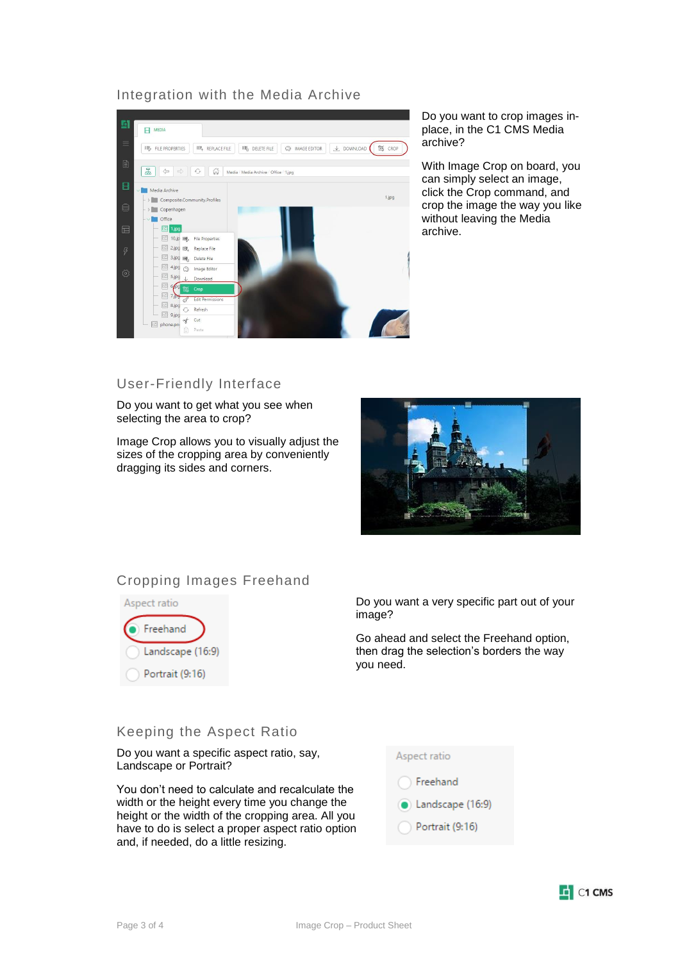### Integration with the Media Archive



Do you want to crop images inplace, in the C1 CMS Media archive?

With Image Crop on board, you can simply select an image, click the Crop command, and crop the image the way you like without leaving the Media archive.

## User-Friendly Interface

Do you want to get what you see when selecting the area to crop?

Image Crop allows you to visually adjust the sizes of the cropping area by conveniently dragging its sides and corners.



# Cropping Images Freehand



Do you want a very specific part out of your image?

Go ahead and select the Freehand option, then drag the selection's borders the way you need.

#### Keeping the Aspect Ratio

Do you want a specific aspect ratio, say, Landscape or Portrait?

You don't need to calculate and recalculate the width or the height every time you change the height or the width of the cropping area. All you have to do is select a proper aspect ratio option and, if needed, do a little resizing.